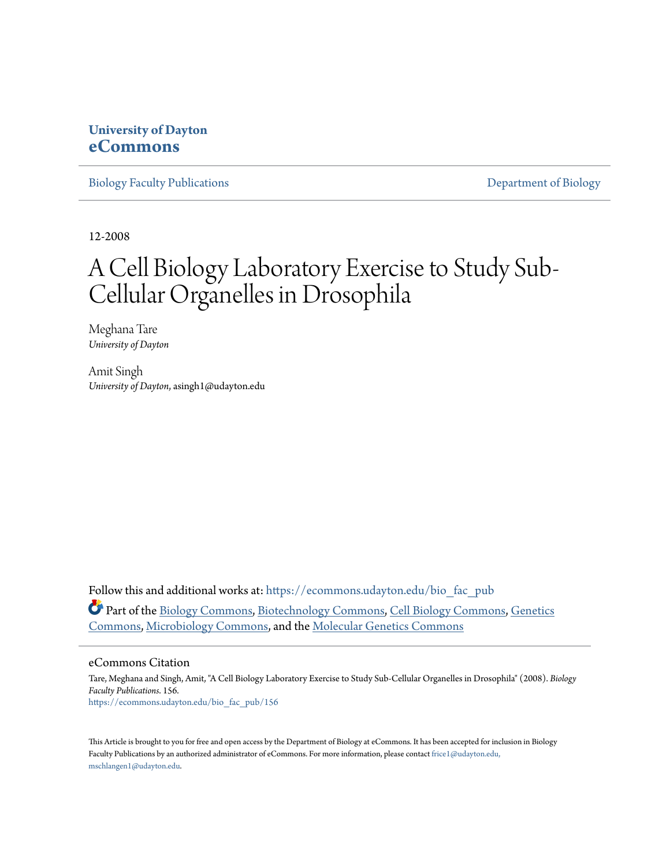# **University of Dayton [eCommons](https://ecommons.udayton.edu?utm_source=ecommons.udayton.edu%2Fbio_fac_pub%2F156&utm_medium=PDF&utm_campaign=PDFCoverPages)**

[Biology Faculty Publications](https://ecommons.udayton.edu/bio_fac_pub?utm_source=ecommons.udayton.edu%2Fbio_fac_pub%2F156&utm_medium=PDF&utm_campaign=PDFCoverPages) [Department of Biology](https://ecommons.udayton.edu/bio?utm_source=ecommons.udayton.edu%2Fbio_fac_pub%2F156&utm_medium=PDF&utm_campaign=PDFCoverPages)

12-2008

# A Cell Biology Laboratory Exercise to Study Sub-Cellular Organelles in Drosophila

Meghana Tare *University of Dayton*

Amit Singh *University of Dayton*, asingh1@udayton.edu

Follow this and additional works at: [https://ecommons.udayton.edu/bio\\_fac\\_pub](https://ecommons.udayton.edu/bio_fac_pub?utm_source=ecommons.udayton.edu%2Fbio_fac_pub%2F156&utm_medium=PDF&utm_campaign=PDFCoverPages) Part of the [Biology Commons,](http://network.bepress.com/hgg/discipline/41?utm_source=ecommons.udayton.edu%2Fbio_fac_pub%2F156&utm_medium=PDF&utm_campaign=PDFCoverPages) [Biotechnology Commons,](http://network.bepress.com/hgg/discipline/111?utm_source=ecommons.udayton.edu%2Fbio_fac_pub%2F156&utm_medium=PDF&utm_campaign=PDFCoverPages) [Cell Biology Commons](http://network.bepress.com/hgg/discipline/10?utm_source=ecommons.udayton.edu%2Fbio_fac_pub%2F156&utm_medium=PDF&utm_campaign=PDFCoverPages), [Genetics](http://network.bepress.com/hgg/discipline/29?utm_source=ecommons.udayton.edu%2Fbio_fac_pub%2F156&utm_medium=PDF&utm_campaign=PDFCoverPages) [Commons,](http://network.bepress.com/hgg/discipline/29?utm_source=ecommons.udayton.edu%2Fbio_fac_pub%2F156&utm_medium=PDF&utm_campaign=PDFCoverPages) [Microbiology Commons](http://network.bepress.com/hgg/discipline/48?utm_source=ecommons.udayton.edu%2Fbio_fac_pub%2F156&utm_medium=PDF&utm_campaign=PDFCoverPages), and the [Molecular Genetics Commons](http://network.bepress.com/hgg/discipline/31?utm_source=ecommons.udayton.edu%2Fbio_fac_pub%2F156&utm_medium=PDF&utm_campaign=PDFCoverPages)

#### eCommons Citation

Tare, Meghana and Singh, Amit, "A Cell Biology Laboratory Exercise to Study Sub-Cellular Organelles in Drosophila" (2008). *Biology Faculty Publications*. 156. [https://ecommons.udayton.edu/bio\\_fac\\_pub/156](https://ecommons.udayton.edu/bio_fac_pub/156?utm_source=ecommons.udayton.edu%2Fbio_fac_pub%2F156&utm_medium=PDF&utm_campaign=PDFCoverPages)

This Article is brought to you for free and open access by the Department of Biology at eCommons. It has been accepted for inclusion in Biology Faculty Publications by an authorized administrator of eCommons. For more information, please contact [frice1@udayton.edu,](mailto:frice1@udayton.edu,%20mschlangen1@udayton.edu) [mschlangen1@udayton.edu.](mailto:frice1@udayton.edu,%20mschlangen1@udayton.edu)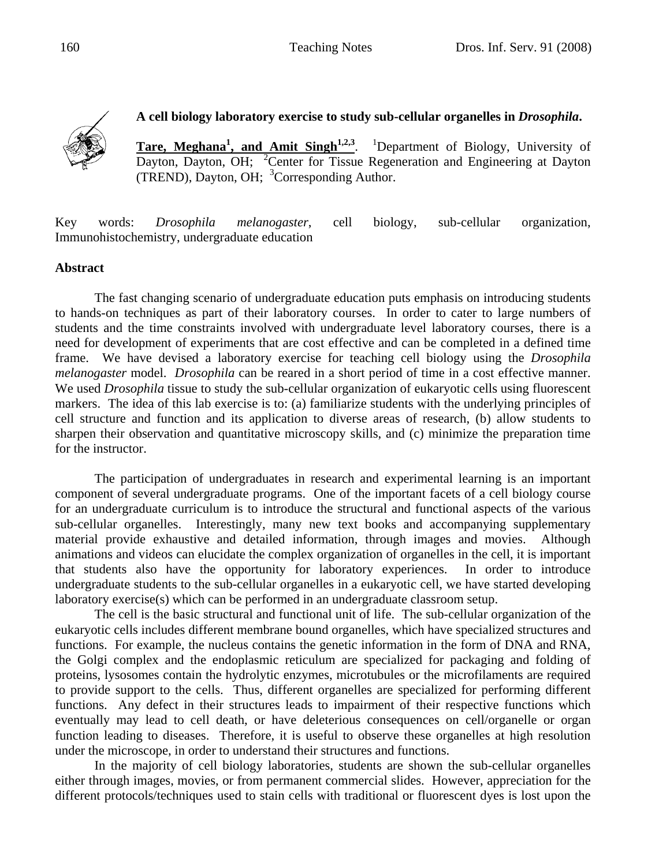

## **A cell biology laboratory exercise to study sub-cellular organelles in** *Drosophila***.**

Tare, Meghana<sup>1</sup>, and Amit Singh<sup>1,2,3</sup>. <sup>1</sup>Department of Biology, University of Dayton, Dayton, OH; <sup>2</sup>Center for Tissue Regeneration and Engineering at Dayton (TREND), Dayton, OH; <sup>3</sup>Corresponding Author.

Key words: *Drosophila melanogaster*, cell biology, sub-cellular organization, Immunohistochemistry, undergraduate education

### **Abstract**

The fast changing scenario of undergraduate education puts emphasis on introducing students to hands-on techniques as part of their laboratory courses. In order to cater to large numbers of students and the time constraints involved with undergraduate level laboratory courses, there is a need for development of experiments that are cost effective and can be completed in a defined time frame. We have devised a laboratory exercise for teaching cell biology using the *Drosophila melanogaster* model. *Drosophila* can be reared in a short period of time in a cost effective manner. We used *Drosophila* tissue to study the sub-cellular organization of eukaryotic cells using fluorescent markers. The idea of this lab exercise is to: (a) familiarize students with the underlying principles of cell structure and function and its application to diverse areas of research, (b) allow students to sharpen their observation and quantitative microscopy skills, and (c) minimize the preparation time for the instructor.

 The participation of undergraduates in research and experimental learning is an important component of several undergraduate programs. One of the important facets of a cell biology course for an undergraduate curriculum is to introduce the structural and functional aspects of the various sub-cellular organelles. Interestingly, many new text books and accompanying supplementary material provide exhaustive and detailed information, through images and movies. Although animations and videos can elucidate the complex organization of organelles in the cell, it is important that students also have the opportunity for laboratory experiences. In order to introduce undergraduate students to the sub-cellular organelles in a eukaryotic cell, we have started developing laboratory exercise(s) which can be performed in an undergraduate classroom setup.

The cell is the basic structural and functional unit of life. The sub-cellular organization of the eukaryotic cells includes different membrane bound organelles, which have specialized structures and functions. For example, the nucleus contains the genetic information in the form of DNA and RNA, the Golgi complex and the endoplasmic reticulum are specialized for packaging and folding of proteins, lysosomes contain the hydrolytic enzymes, microtubules or the microfilaments are required to provide support to the cells. Thus, different organelles are specialized for performing different functions. Any defect in their structures leads to impairment of their respective functions which eventually may lead to cell death, or have deleterious consequences on cell/organelle or organ function leading to diseases. Therefore, it is useful to observe these organelles at high resolution under the microscope, in order to understand their structures and functions.

In the majority of cell biology laboratories, students are shown the sub-cellular organelles either through images, movies, or from permanent commercial slides. However, appreciation for the different protocols/techniques used to stain cells with traditional or fluorescent dyes is lost upon the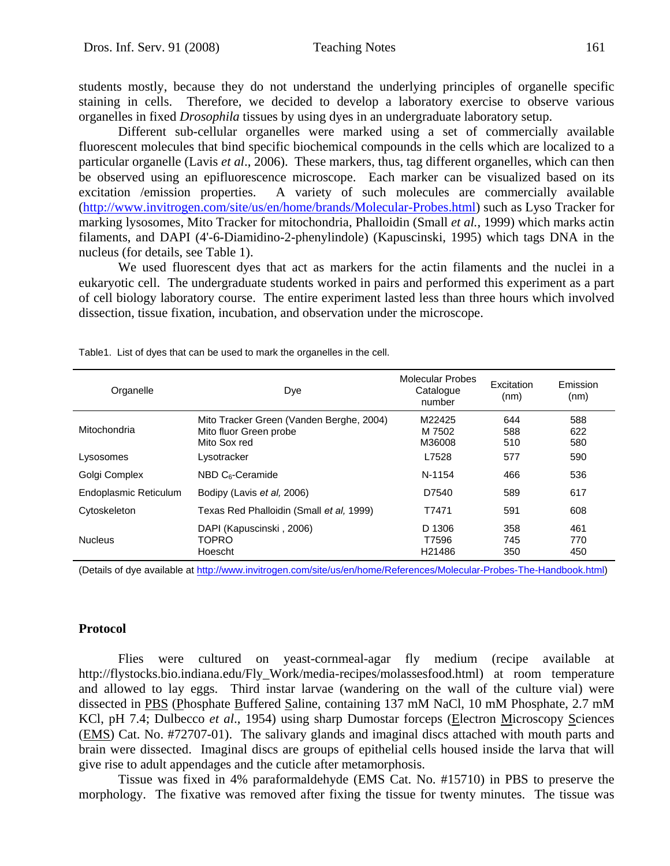students mostly, because they do not understand the underlying principles of organelle specific staining in cells. Therefore, we decided to develop a laboratory exercise to observe various organelles in fixed *Drosophila* tissues by using dyes in an undergraduate laboratory setup.

Different sub-cellular organelles were marked using a set of commercially available fluorescent molecules that bind specific biochemical compounds in the cells which are localized to a particular organelle (Lavis *et al*., 2006). These markers, thus, tag different organelles, which can then be observed using an epifluorescence microscope. Each marker can be visualized based on its excitation /emission properties. A variety of such molecules are commercially available (http://www.invitrogen.com/site/us/en/home/brands/Molecular-Probes.html) such as Lyso Tracker for marking lysosomes, Mito Tracker for mitochondria, Phalloidin (Small *et al.*, 1999) which marks actin filaments, and DAPI (4'-6-Diamidino-2-phenylindole) (Kapuscinski, 1995) which tags DNA in the nucleus (for details, see Table 1).

We used fluorescent dyes that act as markers for the actin filaments and the nuclei in a eukaryotic cell. The undergraduate students worked in pairs and performed this experiment as a part of cell biology laboratory course. The entire experiment lasted less than three hours which involved dissection, tissue fixation, incubation, and observation under the microscope.

| Organelle             | Dye                                                                                | Molecular Probes<br>Catalogue<br>number | Excitation<br>(nm) | Emission<br>(nm)  |
|-----------------------|------------------------------------------------------------------------------------|-----------------------------------------|--------------------|-------------------|
| Mitochondria          | Mito Tracker Green (Vanden Berghe, 2004)<br>Mito fluor Green probe<br>Mito Sox red | M22425<br>M 7502<br>M36008              | 644<br>588<br>510  | 588<br>622<br>580 |
| Lysosomes             | Lysotracker                                                                        | L7528                                   | 577                | 590               |
| Golgi Complex         | $NBD C6-Ceramide$                                                                  | N-1154                                  | 466                | 536               |
| Endoplasmic Reticulum | Bodipy (Lavis et al. 2006)                                                         | D7540                                   | 589                | 617               |
| Cytoskeleton          | Texas Red Phalloidin (Small et al, 1999)                                           | T7471                                   | 591                | 608               |
| <b>Nucleus</b>        | DAPI (Kapuscinski, 2006)<br><b>TOPRO</b><br>Hoescht                                | D 1306<br>T7596<br>H21486               | 358<br>745<br>350  | 461<br>770<br>450 |

Table1. List of dyes that can be used to mark the organelles in the cell.

(Details of dye available at http://www.invitrogen.com/site/us/en/home/References/Molecular-Probes-The-Handbook.html)

#### **Protocol**

Flies were cultured on yeast-cornmeal-agar fly medium (recipe available at http://flystocks.bio.indiana.edu/Fly\_Work/media-recipes/molassesfood.html) at room temperature and allowed to lay eggs. Third instar larvae (wandering on the wall of the culture vial) were dissected in PBS (Phosphate Buffered Saline, containing 137 mM NaCl, 10 mM Phosphate, 2.7 mM KCl, pH 7.4; Dulbecco *et al*., 1954) using sharp Dumostar forceps (Electron Microscopy Sciences (EMS) Cat. No. #72707-01). The salivary glands and imaginal discs attached with mouth parts and brain were dissected. Imaginal discs are groups of epithelial cells housed inside the larva that will give rise to adult appendages and the cuticle after metamorphosis.

Tissue was fixed in 4% paraformaldehyde (EMS Cat. No. #15710) in PBS to preserve the morphology. The fixative was removed after fixing the tissue for twenty minutes. The tissue was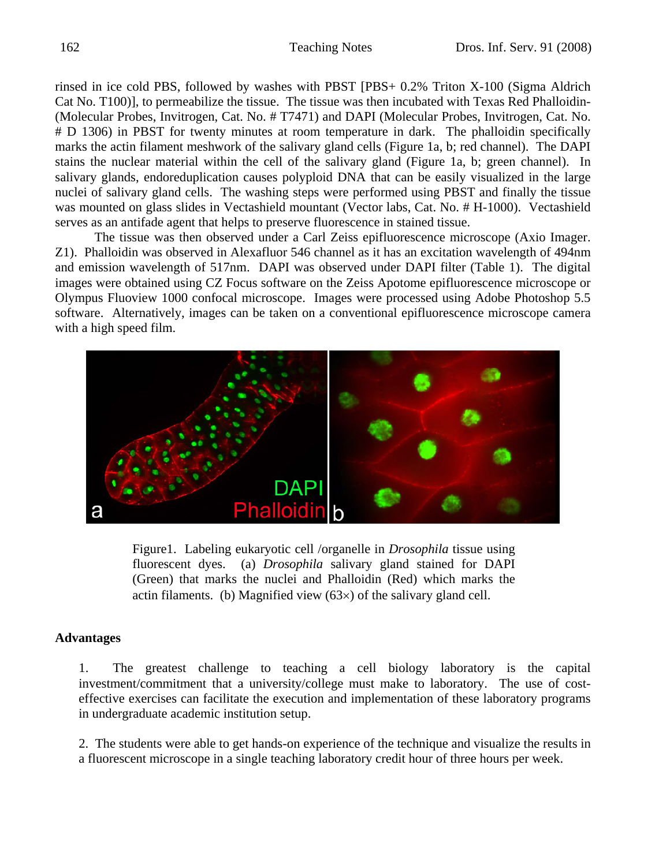rinsed in ice cold PBS, followed by washes with PBST [PBS+ 0.2% Triton X-100 (Sigma Aldrich Cat No. T100)], to permeabilize the tissue. The tissue was then incubated with Texas Red Phalloidin- (Molecular Probes, Invitrogen, Cat. No. # T7471) and DAPI (Molecular Probes, Invitrogen, Cat. No. # D 1306) in PBST for twenty minutes at room temperature in dark. The phalloidin specifically marks the actin filament meshwork of the salivary gland cells (Figure 1a, b; red channel). The DAPI stains the nuclear material within the cell of the salivary gland (Figure 1a, b; green channel). In salivary glands, endoreduplication causes polyploid DNA that can be easily visualized in the large nuclei of salivary gland cells. The washing steps were performed using PBST and finally the tissue was mounted on glass slides in Vectashield mountant (Vector labs, Cat. No. # H-1000). Vectashield serves as an antifade agent that helps to preserve fluorescence in stained tissue.

The tissue was then observed under a Carl Zeiss epifluorescence microscope (Axio Imager. Z1). Phalloidin was observed in Alexafluor 546 channel as it has an excitation wavelength of 494nm and emission wavelength of 517nm. DAPI was observed under DAPI filter (Table 1). The digital images were obtained using CZ Focus software on the Zeiss Apotome epifluorescence microscope or Olympus Fluoview 1000 confocal microscope. Images were processed using Adobe Photoshop 5.5 software. Alternatively, images can be taken on a conventional epifluorescence microscope camera with a high speed film.



Figure1. Labeling eukaryotic cell /organelle in *Drosophila* tissue using fluorescent dyes. (a) *Drosophila* salivary gland stained for DAPI (Green) that marks the nuclei and Phalloidin (Red) which marks the actin filaments. (b) Magnified view (63×) of the salivary gland cell.

#### **Advantages**

 1. The greatest challenge to teaching a cell biology laboratory is the capital investment/commitment that a university/college must make to laboratory. The use of costeffective exercises can facilitate the execution and implementation of these laboratory programs in undergraduate academic institution setup.

 2. The students were able to get hands-on experience of the technique and visualize the results in a fluorescent microscope in a single teaching laboratory credit hour of three hours per week.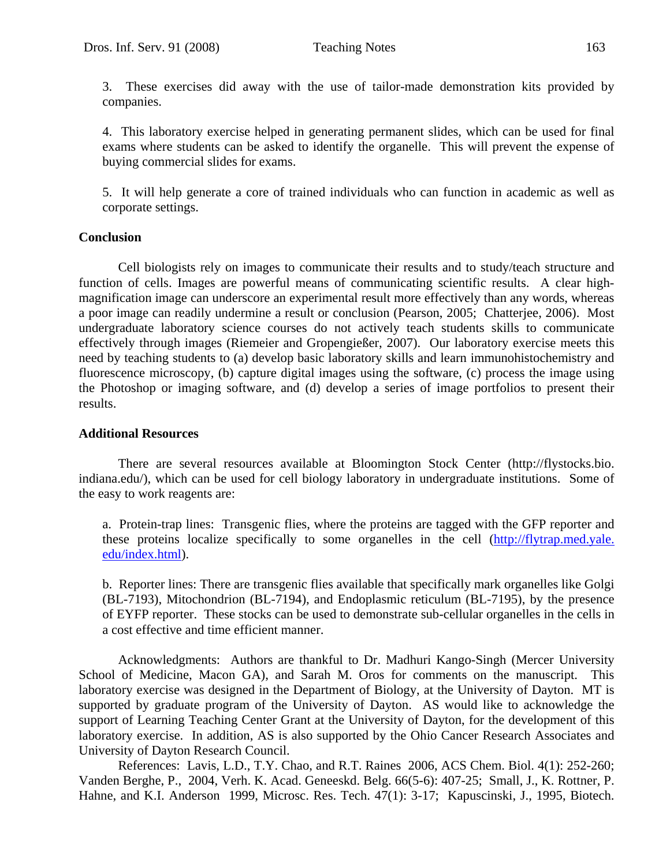3. These exercises did away with the use of tailor-made demonstration kits provided by companies.

 4. This laboratory exercise helped in generating permanent slides, which can be used for final exams where students can be asked to identify the organelle. This will prevent the expense of buying commercial slides for exams.

 5. It will help generate a core of trained individuals who can function in academic as well as corporate settings.

#### **Conclusion**

Cell biologists rely on images to communicate their results and to study/teach structure and function of cells. Images are powerful means of communicating scientific results. A clear highmagnification image can underscore an experimental result more effectively than any words, whereas a poor image can readily undermine a result or conclusion (Pearson, 2005; Chatterjee, 2006). Most undergraduate laboratory science courses do not actively teach students skills to communicate effectively through images (Riemeier and Gropengießer, 2007). Our laboratory exercise meets this need by teaching students to (a) develop basic laboratory skills and learn immunohistochemistry and fluorescence microscopy, (b) capture digital images using the software, (c) process the image using the Photoshop or imaging software, and (d) develop a series of image portfolios to present their results.

#### **Additional Resources**

There are several resources available at Bloomington Stock Center (http://flystocks.bio. indiana.edu/), which can be used for cell biology laboratory in undergraduate institutions. Some of the easy to work reagents are:

a. Protein-trap lines: Transgenic flies, where the proteins are tagged with the GFP reporter and these proteins localize specifically to some organelles in the cell (http://flytrap.med.yale. edu/index.html).

b. Reporter lines: There are transgenic flies available that specifically mark organelles like Golgi (BL-7193), Mitochondrion (BL-7194), and Endoplasmic reticulum (BL-7195), by the presence of EYFP reporter. These stocks can be used to demonstrate sub-cellular organelles in the cells in a cost effective and time efficient manner.

 Acknowledgments: Authors are thankful to Dr. Madhuri Kango-Singh (Mercer University School of Medicine, Macon GA), and Sarah M. Oros for comments on the manuscript. This laboratory exercise was designed in the Department of Biology, at the University of Dayton. MT is supported by graduate program of the University of Dayton. AS would like to acknowledge the support of Learning Teaching Center Grant at the University of Dayton, for the development of this laboratory exercise. In addition, AS is also supported by the Ohio Cancer Research Associates and University of Dayton Research Council.

 References: Lavis, L.D., T.Y. Chao, and R.T. Raines 2006, ACS Chem. Biol. 4(1): 252-260; Vanden Berghe, P., 2004, Verh. K. Acad. Geneeskd. Belg. 66(5-6): 407-25; Small, J., K. Rottner, P. Hahne, and K.I. Anderson 1999, Microsc. Res. Tech. 47(1): 3-17; Kapuscinski, J., 1995, Biotech.